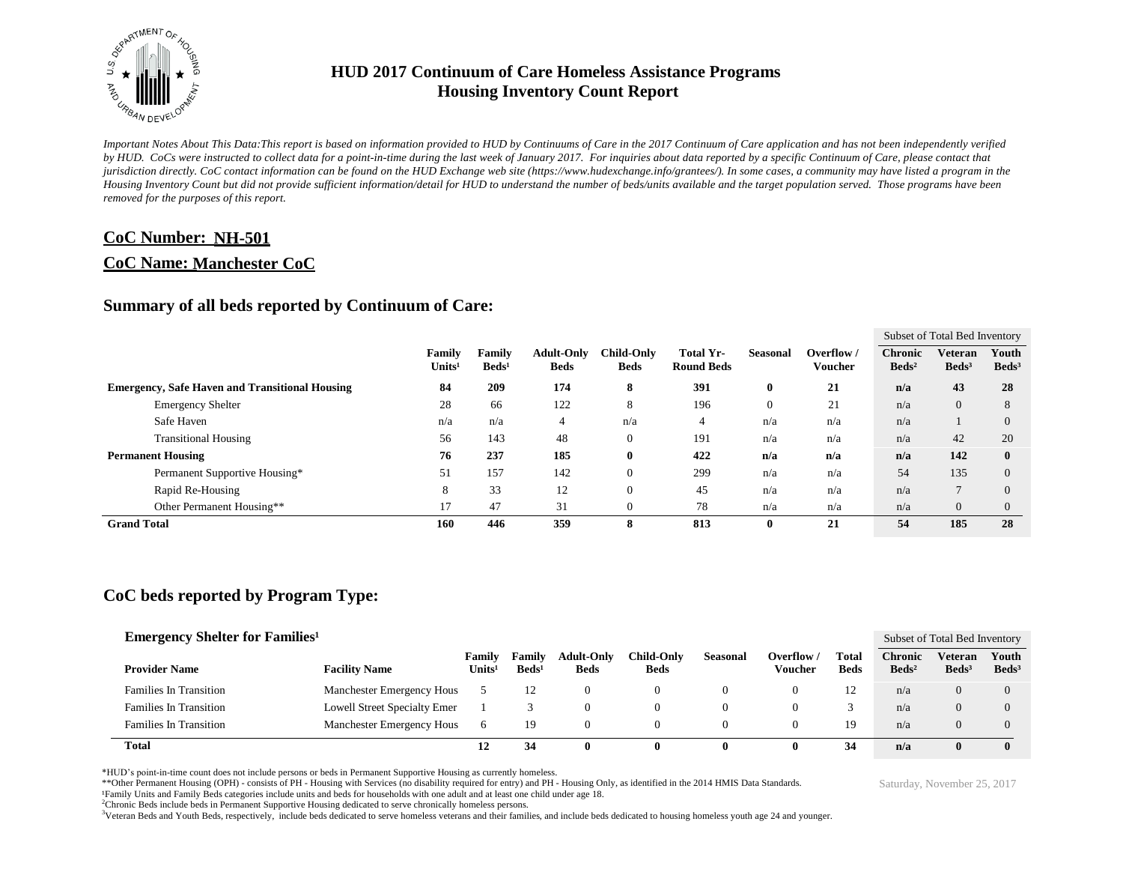

*Important Notes About This Data:This report is based on information provided to HUD by Continuums of Care in the 2017 Continuum of Care application and has not been independently verified by HUD. CoCs were instructed to collect data for a point-in-time during the last week of January 2017. For inquiries about data reported by a specific Continuum of Care, please contact that jurisdiction directly. CoC contact information can be found on the HUD Exchange web site (https://www.hudexchange.info/grantees/). In some cases, a community may have listed a program in the Housing Inventory Count but did not provide sufficient information/detail for HUD to understand the number of beds/units available and the target population served. Those programs have been removed for the purposes of this report.*

#### **CoC Number: NH-501**

#### **CoC Name: Manchester CoC**

#### **Summary of all beds reported by Continuum of Care:**

|                                                       |                              |                           |                                  |                                  |                                |                 |                       |                                   | Subset of Total Bed Inventory     |                          |
|-------------------------------------------------------|------------------------------|---------------------------|----------------------------------|----------------------------------|--------------------------------|-----------------|-----------------------|-----------------------------------|-----------------------------------|--------------------------|
|                                                       | Family<br>Units <sup>1</sup> | Family<br>$\text{Beds}^1$ | <b>Adult-Only</b><br><b>Beds</b> | <b>Child-Only</b><br><b>Beds</b> | Total Yr-<br><b>Round Beds</b> | <b>Seasonal</b> | Overflow /<br>Voucher | <b>Chronic</b><br>$\text{Beds}^2$ | <b>Veteran</b><br>$\text{Beds}^3$ | Youth<br>$\text{Beds}^3$ |
| <b>Emergency, Safe Haven and Transitional Housing</b> | 84                           | 209                       | 174                              | 8                                | 391                            | 0               | 21                    | n/a                               | 43                                | 28                       |
| <b>Emergency Shelter</b>                              | 28                           | 66                        | 122                              | 8                                | 196                            |                 | 21                    | n/a                               | $\overline{0}$                    | 8                        |
| Safe Haven                                            | n/a                          | n/a                       | 4                                | n/a                              | 4                              | n/a             | n/a                   | n/a                               |                                   | $\Omega$                 |
| <b>Transitional Housing</b>                           | 56                           | 143                       | 48                               | $\mathbf{0}$                     | 191                            | n/a             | n/a                   | n/a                               | 42                                | 20                       |
| <b>Permanent Housing</b>                              | 76                           | 237                       | 185                              | $\bf{0}$                         | 422                            | n/a             | n/a                   | n/a                               | 142                               | $\bf{0}$                 |
| Permanent Supportive Housing*                         | 51                           | 157                       | 142                              | $\mathbf{0}$                     | 299                            | n/a             | n/a                   | 54                                | 135                               | $\Omega$                 |
| Rapid Re-Housing                                      | 8                            | 33                        | 12                               | $\mathbf{0}$                     | 45                             | n/a             | n/a                   | n/a                               |                                   | $\Omega$                 |
| Other Permanent Housing**                             | 17                           | 47                        | 31                               | $\mathbf{0}$                     | 78                             | n/a             | n/a                   | n/a                               | $\overline{0}$                    | $\Omega$                 |
| <b>Grand Total</b>                                    | 160                          | 446                       | 359                              | 8                                | 813                            | $\mathbf{0}$    | 21                    | 54                                | 185                               | 28                       |

## **CoC beds reported by Program Type:**

| <b>Emergency Shelter for Families</b> <sup>1</sup> |                              |                              |                                    |                                  |                                  |                 |                       |                      |                                     | Subset of Total Bed Inventory       |                          |
|----------------------------------------------------|------------------------------|------------------------------|------------------------------------|----------------------------------|----------------------------------|-----------------|-----------------------|----------------------|-------------------------------------|-------------------------------------|--------------------------|
| <b>Provider Name</b>                               | <b>Facility Name</b>         | Family<br>Units <sup>1</sup> | <b>Family</b><br>Beds <sup>1</sup> | <b>Adult-Only</b><br><b>Beds</b> | <b>Child-Only</b><br><b>Beds</b> | <b>Seasonal</b> | Overflow /<br>Voucher | Total<br><b>Beds</b> | <b>Chronic</b><br>Beds <sup>2</sup> | <b>Veteran</b><br>Beds <sup>3</sup> | Youth<br>$\text{Beds}^3$ |
| <b>Families In Transition</b>                      | Manchester Emergency Hous    |                              | 12                                 |                                  |                                  |                 |                       | 12                   | n/a                                 | $\theta$                            | $\left($                 |
| <b>Families In Transition</b>                      | Lowell Street Specialty Emer |                              |                                    |                                  |                                  |                 |                       |                      | n/a                                 | $\theta$                            | $\mathcal{O}$            |
| <b>Families In Transition</b>                      | Manchester Emergency Hous    | 6                            | 19                                 |                                  |                                  |                 |                       | 19                   | n/a                                 |                                     | $\mathcal{L}$            |
| <b>Total</b>                                       |                              | 12                           | 34                                 |                                  |                                  |                 |                       | 34                   | n/a                                 | $\mathbf{0}$                        | $\mathbf{0}$             |

\*HUD's point-in-time count does not include persons or beds in Permanent Supportive Housing as currently homeless.

\*\*Other Permanent Housing (OPH) - consists of PH - Housing with Services (no disability required for entry) and PH - Housing Only, as identified in the 2014 HMIS Data Standards.

¹Family Units and Family Beds categories include units and beds for households with one adult and at least one child under age 18.

<sup>2</sup>Chronic Beds include beds in Permanent Supportive Housing dedicated to serve chronically homeless persons.

<sup>3</sup>Veteran Beds and Youth Beds, respectively, include beds dedicated to serve homeless veterans and their families, and include beds dedicated to housing homeless youth age 24 and younger.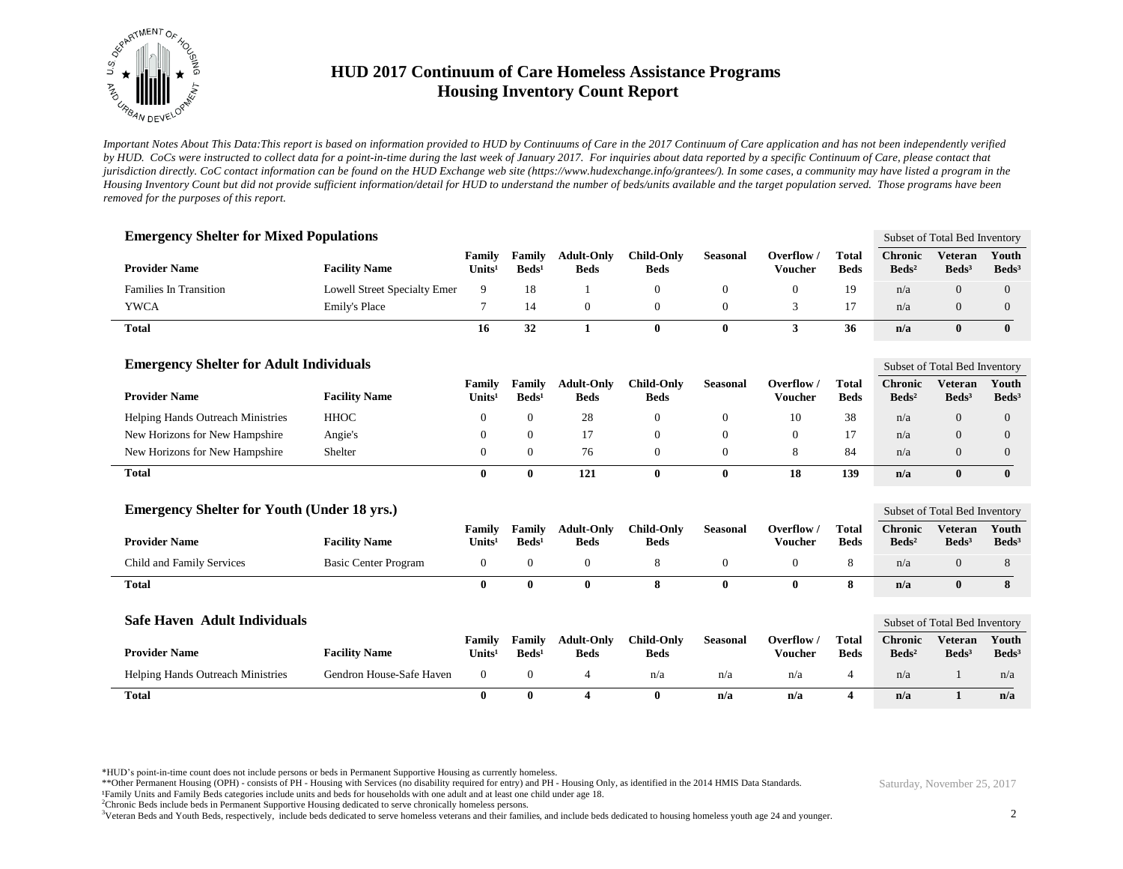

*Important Notes About This Data:This report is based on information provided to HUD by Continuums of Care in the 2017 Continuum of Care application and has not been independently verified by HUD. CoCs were instructed to collect data for a point-in-time during the last week of January 2017. For inquiries about data reported by a specific Continuum of Care, please contact that jurisdiction directly. CoC contact information can be found on the HUD Exchange web site (https://www.hudexchange.info/grantees/). In some cases, a community may have listed a program in the Housing Inventory Count but did not provide sufficient information/detail for HUD to understand the number of beds/units available and the target population served. Those programs have been removed for the purposes of this report.*

| <b>Emergency Shelter for Mixed Populations</b>     |                              |                                     |                             |                                  |                                  |                 |                              |                             |                                     | Subset of Total Bed Inventory       |                            |
|----------------------------------------------------|------------------------------|-------------------------------------|-----------------------------|----------------------------------|----------------------------------|-----------------|------------------------------|-----------------------------|-------------------------------------|-------------------------------------|----------------------------|
| <b>Provider Name</b>                               | <b>Facility Name</b>         | Family<br>Units <sup>1</sup>        | Family<br>$\text{Beds}^1$   | <b>Adult-Only</b><br><b>Beds</b> | <b>Child-Only</b><br><b>Beds</b> | <b>Seasonal</b> | Overflow /<br><b>Voucher</b> | <b>Total</b><br><b>Beds</b> | <b>Chronic</b><br>$\text{Beds}^2$   | <b>Veteran</b><br>Beds <sup>3</sup> | Youth<br>Beds <sup>3</sup> |
| <b>Families In Transition</b>                      | Lowell Street Specialty Emer | 9                                   | 18                          |                                  | $\boldsymbol{0}$                 | $\mathbf{0}$    | $\theta$                     | 19                          | n/a                                 | $\overline{0}$                      | $\overline{0}$             |
| <b>YWCA</b>                                        | Emily's Place                | 7                                   | 14                          | $\overline{0}$                   | $\overline{0}$                   | $\overline{0}$  | 3                            | 17                          | n/a                                 | $\overline{0}$                      | $\overline{0}$             |
| <b>Total</b>                                       |                              | 16                                  | 32                          | $\mathbf{1}$                     | $\bf{0}$                         | $\bf{0}$        | 3                            | 36                          | n/a                                 | $\bf{0}$                            | $\mathbf{0}$               |
| <b>Emergency Shelter for Adult Individuals</b>     |                              |                                     |                             |                                  |                                  |                 |                              |                             |                                     | Subset of Total Bed Inventory       |                            |
| <b>Provider Name</b>                               | <b>Facility Name</b>         | <b>Family</b><br>Units <sup>1</sup> | Family<br>$\text{Beds}^1$   | <b>Adult-Only</b><br><b>Beds</b> | <b>Child-Only</b><br><b>Beds</b> | <b>Seasonal</b> | Overflow /<br><b>Voucher</b> | <b>Total</b><br><b>Beds</b> | <b>Chronic</b><br>$\text{Beds}^2$   | <b>Veteran</b><br>Beds <sup>3</sup> | Youth<br>$\text{Beds}^3$   |
| Helping Hands Outreach Ministries                  | <b>HHOC</b>                  | $\theta$                            | $\overline{0}$              | 28                               | $\mathbf{0}$                     | $\mathbf{0}$    | 10                           | 38                          | n/a                                 | $\overline{0}$                      | $\theta$                   |
| New Horizons for New Hampshire                     | Angie's                      | $\theta$                            | $\overline{0}$              | 17                               | $\mathbf{0}$                     | $\overline{0}$  | $\theta$                     | 17                          | n/a                                 | $\overline{0}$                      | $\theta$                   |
| New Horizons for New Hampshire                     | Shelter                      | $\overline{0}$                      | $\overline{0}$              | 76                               | $\mathbf{0}$                     | $\overline{0}$  | 8                            | 84                          | n/a                                 | $\overline{0}$                      | $\mathbf{0}$               |
| <b>Total</b>                                       |                              | $\bf{0}$                            | $\bf{0}$                    | 121                              | $\bf{0}$                         | $\bf{0}$        | 18                           | 139                         | n/a                                 | $\bf{0}$                            | $\mathbf{0}$               |
| <b>Emergency Shelter for Youth (Under 18 yrs.)</b> |                              |                                     |                             |                                  |                                  |                 |                              |                             |                                     | Subset of Total Bed Inventory       |                            |
| <b>Provider Name</b>                               | <b>Facility Name</b>         | Family<br>Units <sup>1</sup>        | Family<br>Beds <sup>1</sup> | <b>Adult-Only</b><br><b>Beds</b> | <b>Child-Only</b><br><b>Beds</b> | <b>Seasonal</b> | Overflow /<br><b>Voucher</b> | <b>Total</b><br><b>Beds</b> | <b>Chronic</b><br>Beds <sup>2</sup> | <b>Veteran</b><br>Beds <sup>3</sup> | Youth<br>Beds <sup>3</sup> |
| Child and Family Services                          | <b>Basic Center Program</b>  | $\boldsymbol{0}$                    | $\mathbf{0}$                | $\mathbf{0}$                     | 8                                | $\mathbf{0}$    | $\theta$                     | 8                           | n/a                                 | $\overline{0}$                      | 8                          |
| <b>Total</b>                                       |                              | $\bf{0}$                            | $\bf{0}$                    | $\mathbf{0}$                     | 8                                | $\mathbf{0}$    | $\bf{0}$                     | 8                           | n/a                                 | $\bf{0}$                            | 8                          |
| <b>Safe Haven Adult Individuals</b>                |                              |                                     |                             |                                  |                                  |                 |                              |                             | Subset of Total Bed Inventory       |                                     |                            |
| <b>Provider Name</b>                               | <b>Facility Name</b>         | Family<br>Units <sup>1</sup>        | Family<br>$\text{Beds}^1$   | <b>Adult-Only</b><br><b>Beds</b> | <b>Child-Only</b><br><b>Beds</b> | <b>Seasonal</b> | Overflow /<br><b>Voucher</b> | <b>Total</b><br><b>Beds</b> | <b>Chronic</b><br>Beds <sup>2</sup> | <b>Veteran</b><br>$\text{Beds}^3$   | Youth<br>Beds <sup>3</sup> |
| <b>Helping Hands Outreach Ministries</b>           | Gendron House-Safe Haven     | $\mathbf{0}$                        | $\boldsymbol{0}$            | 4                                | n/a                              | n/a             | n/a                          | $\overline{4}$              | n/a                                 | -1                                  | n/a                        |
| <b>Total</b>                                       |                              | $\bf{0}$                            | $\mathbf{0}$                | 4                                | $\bf{0}$                         | n/a             | n/a                          | $\overline{\mathbf{4}}$     | n/a                                 | $\mathbf{1}$                        | n/a                        |

\*HUD's point-in-time count does not include persons or beds in Permanent Supportive Housing as currently homeless.

\*\*Other Permanent Housing (OPH) - consists of PH - Housing with Services (no disability required for entry) and PH - Housing Only, as identified in the 2014 HMIS Data Standards.

¹Family Units and Family Beds categories include units and beds for households with one adult and at least one child under age 18.

<sup>2</sup>Chronic Beds include beds in Permanent Supportive Housing dedicated to serve chronically homeless persons.

<sup>3</sup>Veteran Beds and Youth Beds, respectively, include beds dedicated to serve homeless veterans and their families, and include beds dedicated to housing homeless youth age 24 and younger.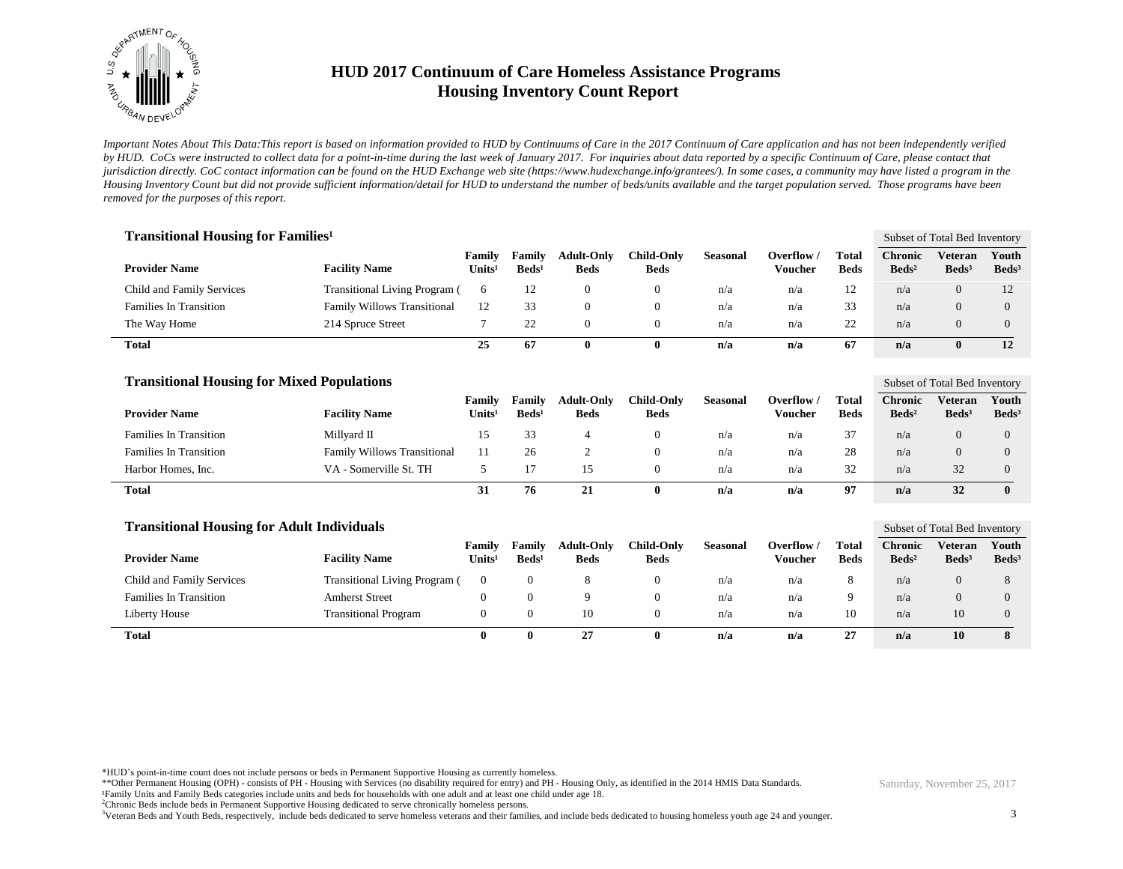

*Important Notes About This Data:This report is based on information provided to HUD by Continuums of Care in the 2017 Continuum of Care application and has not been independently verified by HUD. CoCs were instructed to collect data for a point-in-time during the last week of January 2017. For inquiries about data reported by a specific Continuum of Care, please contact that jurisdiction directly. CoC contact information can be found on the HUD Exchange web site (https://www.hudexchange.info/grantees/). In some cases, a community may have listed a program in the Housing Inventory Count but did not provide sufficient information/detail for HUD to understand the number of beds/units available and the target population served. Those programs have been removed for the purposes of this report.*

| <b>Transitional Housing for Families</b> <sup>1</sup> |                                      |                              |                           |                                  |                                  |                 |                     |                      |                            | Subset of Total Bed Inventory |                            |
|-------------------------------------------------------|--------------------------------------|------------------------------|---------------------------|----------------------------------|----------------------------------|-----------------|---------------------|----------------------|----------------------------|-------------------------------|----------------------------|
| <b>Provider Name</b>                                  | <b>Facility Name</b>                 | Family<br>Units <sup>1</sup> | Family<br>$\text{Beds}^1$ | <b>Adult-Only</b><br><b>Beds</b> | <b>Child-Only</b><br><b>Beds</b> | <b>Seasonal</b> | Overflow<br>Voucher | Total<br><b>Beds</b> | Chronic<br>$\text{Beds}^2$ | Veteran<br>Beds <sup>3</sup>  | Youth<br>Beds <sup>3</sup> |
| Child and Family Services                             | <b>Transitional Living Program (</b> | 6                            | 12                        |                                  |                                  | n/a             | n/a                 | 12                   | n/a                        | $\Omega$                      | 12                         |
| <b>Families In Transition</b>                         | <b>Family Willows Transitional</b>   | 12                           | 33                        |                                  |                                  | n/a             | n/a                 | 33                   | n/a                        | $\Omega$                      | $\Omega$                   |
| The Way Home                                          | 214 Spruce Street                    |                              | 22                        |                                  |                                  | n/a             | n/a                 | 22                   | n/a                        | $\Omega$                      | $\Omega$                   |
| Total                                                 |                                      | 25                           | 67                        |                                  |                                  | n/a             | n/a                 | 67                   | n/a                        | $\mathbf{0}$                  | 12                         |

| <b>Transitional Housing for Mixed Populations</b> |                                    |                                     |                           |                                  |                           |                 |                       |                      |                                   | Subset of Total Bed Inventory |                            |  |
|---------------------------------------------------|------------------------------------|-------------------------------------|---------------------------|----------------------------------|---------------------------|-----------------|-----------------------|----------------------|-----------------------------------|-------------------------------|----------------------------|--|
| <b>Provider Name</b>                              | <b>Facility Name</b>               | <b>Family</b><br>Units <sup>1</sup> | Family<br>$\text{Beds}^1$ | <b>Adult-Only</b><br><b>Beds</b> | Child-Only<br><b>Beds</b> | <b>Seasonal</b> | Overflow /<br>Voucher | Total<br><b>Beds</b> | <b>Chronic</b><br>$\text{Beds}^2$ | Veteran<br>$\text{Beds}^3$    | Youth<br>Beds <sup>3</sup> |  |
| <b>Families In Transition</b>                     | Millvard II                        | 15.                                 | 33                        |                                  | O                         | n/a             | n/a                   | 37                   | n/a                               |                               |                            |  |
| <b>Families In Transition</b>                     | <b>Family Willows Transitional</b> |                                     | 26                        |                                  | 0                         | n/a             | n/a                   | 28                   | n/a                               |                               |                            |  |
| Harbor Homes, Inc.                                | VA - Somerville St. TH             |                                     |                           |                                  |                           | n/a             | n/a                   | 32                   | n/a                               | 32                            |                            |  |
| <b>Total</b>                                      |                                    | 31                                  | 76                        | 21                               |                           | n/a             | n/a                   | 97                   | n/a                               | 32                            | 0                          |  |

| <b>Transitional Housing for Adult Individuals</b> |                                      |                              |                           |                                  |                           |                 |                       |                      |                                   | Subset of Total Bed Inventory |                            |  |
|---------------------------------------------------|--------------------------------------|------------------------------|---------------------------|----------------------------------|---------------------------|-----------------|-----------------------|----------------------|-----------------------------------|-------------------------------|----------------------------|--|
| <b>Provider Name</b>                              | <b>Facility Name</b>                 | Family<br>Units <sup>1</sup> | Family<br>$\text{Beds}^1$ | <b>Adult-Only</b><br><b>Beds</b> | Child-Only<br><b>Beds</b> | <b>Seasonal</b> | Overflow /<br>Voucher | Total<br><b>Beds</b> | <b>Chronic</b><br>$\text{Beds}^2$ | Veteran<br>$\text{Beds}^3$    | Youth<br>Beds <sup>3</sup> |  |
| Child and Family Services                         | <b>Transitional Living Program (</b> | $\Omega$                     |                           |                                  | 0                         | n/a             | n/a                   | 8                    | n/a                               |                               |                            |  |
| <b>Families In Transition</b>                     | <b>Amherst Street</b>                |                              |                           | $\Omega$                         | $\Omega$                  | n/a             | n/a                   | 9                    | n/a                               |                               |                            |  |
| Liberty House                                     | <b>Transitional Program</b>          |                              |                           | 10                               | $\Omega$                  | n/a             | n/a                   | 10                   | n/a                               | 10                            | $\Omega$                   |  |
| <b>Total</b>                                      |                                      | 0                            | $\mathbf{0}$              | 27                               | O                         | n/a             | n/a                   | 27                   | n/a                               | 10                            |                            |  |

\*HUD's point-in-time count does not include persons or beds in Permanent Supportive Housing as currently homeless.

\*\*Other Permanent Housing (OPH) - consists of PH - Housing with Services (no disability required for entry) and PH - Housing Only, as identified in the 2014 HMIS Data Standards.

¹Family Units and Family Beds categories include units and beds for households with one adult and at least one child under age 18.

<sup>2</sup>Chronic Beds include beds in Permanent Supportive Housing dedicated to serve chronically homeless persons.

<sup>3</sup>Veteran Beds and Youth Beds, respectively, include beds dedicated to serve homeless veterans and their families, and include beds dedicated to housing homeless youth age 24 and younger.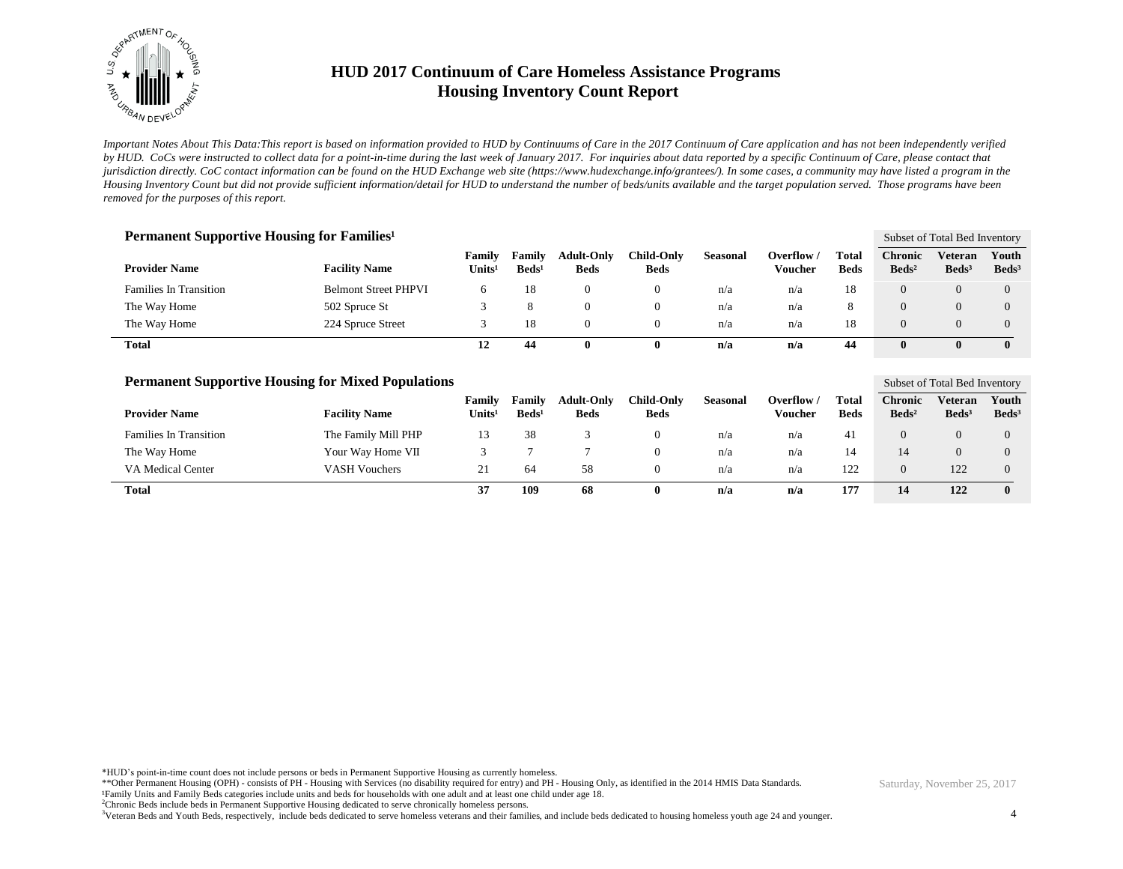

*Important Notes About This Data:This report is based on information provided to HUD by Continuums of Care in the 2017 Continuum of Care application and has not been independently verified by HUD. CoCs were instructed to collect data for a point-in-time during the last week of January 2017. For inquiries about data reported by a specific Continuum of Care, please contact that jurisdiction directly. CoC contact information can be found on the HUD Exchange web site (https://www.hudexchange.info/grantees/). In some cases, a community may have listed a program in the Housing Inventory Count but did not provide sufficient information/detail for HUD to understand the number of beds/units available and the target population served. Those programs have been removed for the purposes of this report.*

| <b>Permanent Supportive Housing for Families</b> <sup>1</sup> |                             |                              |                             |                                  |                           |                 |                       |                      |                                   | Subset of Total Bed Inventory |                            |
|---------------------------------------------------------------|-----------------------------|------------------------------|-----------------------------|----------------------------------|---------------------------|-----------------|-----------------------|----------------------|-----------------------------------|-------------------------------|----------------------------|
| <b>Provider Name</b>                                          | <b>Facility Name</b>        | Family<br>Units <sup>1</sup> | Family<br>Beds <sup>1</sup> | <b>Adult-Only</b><br><b>Beds</b> | Child-Only<br><b>Beds</b> | <b>Seasonal</b> | Overflow /<br>Voucher | Total<br><b>Beds</b> | <b>Chronic</b><br>$\text{Beds}^2$ | Veteran<br>Beds <sup>3</sup>  | Youth<br>Beds <sup>3</sup> |
| <b>Families In Transition</b>                                 | <b>Belmont Street PHPVI</b> | 6                            | 18                          | 0                                | 0                         | n/a             | n/a                   | 18                   | $\Omega$                          | 0                             | $\Omega$                   |
| The Way Home                                                  | 502 Spruce St               |                              |                             | $\Omega$                         | 0                         | n/a             | n/a                   | 8                    |                                   | 0                             | $\Omega$                   |
| The Way Home                                                  | 224 Spruce Street           |                              | 18                          | $\Omega$                         | $^{0}$                    | n/a             | n/a                   | 18                   |                                   | $\Omega$                      | $\Omega$                   |
| <b>Total</b>                                                  |                             | 12                           | 44                          | 0                                | 0                         | n/a             | n/a                   | 44                   | 0                                 | 0                             | $\mathbf{0}$               |

| <b>Permanent Supportive Housing for Mixed Populations</b> |                      |                              |                                  |                                  |                           |                 |                       |                      |                                   | Subset of Total Bed Inventory |                            |
|-----------------------------------------------------------|----------------------|------------------------------|----------------------------------|----------------------------------|---------------------------|-----------------|-----------------------|----------------------|-----------------------------------|-------------------------------|----------------------------|
| <b>Provider Name</b>                                      | <b>Facility Name</b> | Family<br>Units <sup>1</sup> | <b>Family</b><br>$\text{Beds}^1$ | <b>Adult-Only</b><br><b>Beds</b> | Child-Onlv<br><b>Beds</b> | <b>Seasonal</b> | Overflow /<br>Voucher | Total<br><b>Beds</b> | <b>Chronic</b><br>$\text{Beds}^2$ | Veteran<br>Beds <sup>3</sup>  | Youth<br>Beds <sup>3</sup> |
| <b>Families In Transition</b>                             | The Family Mill PHP  | 13                           | 38                               |                                  | 0                         | n/a             | n/a                   | 41                   |                                   |                               |                            |
| The Way Home                                              | Your Way Home VII    |                              |                                  |                                  | $\theta$                  | n/a             | n/a                   | 14                   | 14                                |                               |                            |
| VA Medical Center                                         | <b>VASH Vouchers</b> | 21                           | 64                               | 58                               | $\theta$                  | n/a             | n/a                   | 122                  | $\Omega$                          | 122                           |                            |
| Total                                                     |                      | 37                           | 109                              | 68                               |                           | n/a             | n/a                   | 177                  | 14                                | 122                           |                            |

\*HUD's point-in-time count does not include persons or beds in Permanent Supportive Housing as currently homeless.

\*\*Other Permanent Housing (OPH) - consists of PH - Housing with Services (no disability required for entry) and PH - Housing Only, as identified in the 2014 HMIS Data Standards.

¹Family Units and Family Beds categories include units and beds for households with one adult and at least one child under age 18.

<sup>2</sup>Chronic Beds include beds in Permanent Supportive Housing dedicated to serve chronically homeless persons.

<sup>3</sup>Veteran Beds and Youth Beds, respectively, include beds dedicated to serve homeless veterans and their families, and include beds dedicated to housing homeless youth age 24 and younger.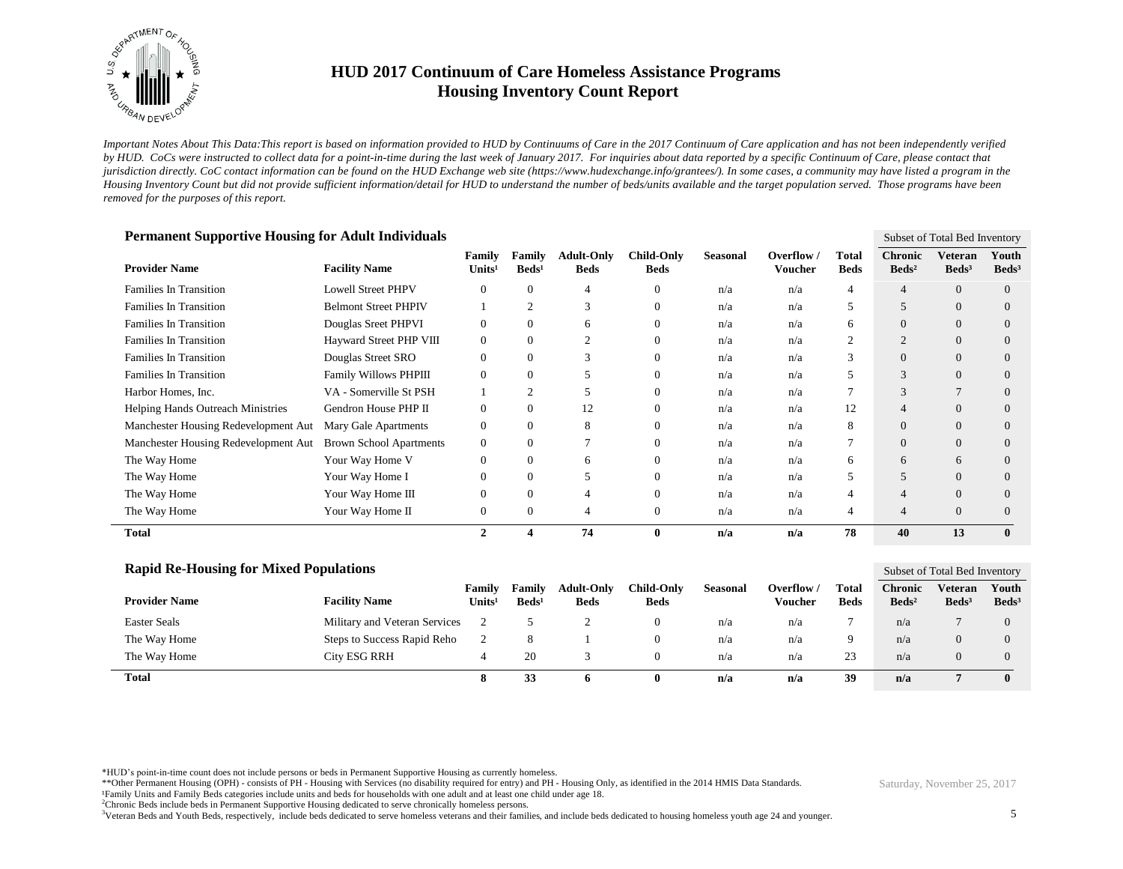

*Important Notes About This Data:This report is based on information provided to HUD by Continuums of Care in the 2017 Continuum of Care application and has not been independently verified by HUD. CoCs were instructed to collect data for a point-in-time during the last week of January 2017. For inquiries about data reported by a specific Continuum of Care, please contact that jurisdiction directly. CoC contact information can be found on the HUD Exchange web site (https://www.hudexchange.info/grantees/). In some cases, a community may have listed a program in the Housing Inventory Count but did not provide sufficient information/detail for HUD to understand the number of beds/units available and the target population served. Those programs have been removed for the purposes of this report.*

| <b>Permanent Supportive Housing for Adult Individuals</b><br>Subset of Total Bed Inventory |                                |                              |                           |                                  |                                  |                 |                       |                      |                                   |                              |                            |
|--------------------------------------------------------------------------------------------|--------------------------------|------------------------------|---------------------------|----------------------------------|----------------------------------|-----------------|-----------------------|----------------------|-----------------------------------|------------------------------|----------------------------|
| <b>Provider Name</b>                                                                       | <b>Facility Name</b>           | Family<br>Units <sup>1</sup> | Family<br>$\text{Beds}^1$ | <b>Adult-Only</b><br><b>Beds</b> | <b>Child-Only</b><br><b>Beds</b> | <b>Seasonal</b> | Overflow /<br>Voucher | Total<br><b>Beds</b> | <b>Chronic</b><br>$\text{Beds}^2$ | Veteran<br>Beds <sup>3</sup> | Youth<br>Beds <sup>3</sup> |
| <b>Families In Transition</b>                                                              | <b>Lowell Street PHPV</b>      | 0                            |                           | 4                                |                                  | n/a             | n/a                   | 4                    |                                   | $\Omega$                     | $\Omega$                   |
| <b>Families In Transition</b>                                                              | <b>Belmont Street PHPIV</b>    |                              |                           | 3                                |                                  | n/a             | n/a                   | 5                    | 5                                 | $\overline{0}$               | $\Omega$                   |
| <b>Families In Transition</b>                                                              | Douglas Sreet PHPVI            | 0                            | $\Omega$                  | 6                                |                                  | n/a             | n/a                   | 6                    | $\theta$                          | $\overline{0}$               | $\Omega$                   |
| <b>Families In Transition</b>                                                              | Hayward Street PHP VIII        | 0                            | 0                         | $\overline{2}$                   |                                  | n/a             | n/a                   | 2                    | $\overline{2}$                    | $\overline{0}$               | $\Omega$                   |
| <b>Families In Transition</b>                                                              | Douglas Street SRO             | 0                            | $\Omega$                  | 3                                |                                  | n/a             | n/a                   | 3                    | $\mathbf{0}$                      | $\overline{0}$               | $\Omega$                   |
| <b>Families In Transition</b>                                                              | Family Willows PHPIII          | 0                            |                           | 5                                |                                  | n/a             | n/a                   | 5                    | 3                                 | $\overline{0}$               | $\Omega$                   |
| Harbor Homes, Inc.                                                                         | VA - Somerville St PSH         |                              |                           | 5                                |                                  | n/a             | n/a                   | 7                    | 3                                 |                              | $\Omega$                   |
| <b>Helping Hands Outreach Ministries</b>                                                   | Gendron House PHP II           | 0                            | $\Omega$                  | 12                               |                                  | n/a             | n/a                   | 12                   | $\overline{4}$                    | $\Omega$                     | $\Omega$                   |
| Manchester Housing Redevelopment Aut                                                       | Mary Gale Apartments           | 0                            | 0                         | 8                                |                                  | n/a             | n/a                   | 8                    | $\Omega$                          | $\Omega$                     | $\Omega$                   |
| Manchester Housing Redevelopment Aut                                                       | <b>Brown School Apartments</b> | 0                            | 0                         | 7                                |                                  | n/a             | n/a                   | 7                    | $\mathbf{0}$                      | $\Omega$                     | $\Omega$                   |
| The Way Home                                                                               | Your Way Home V                | 0                            |                           | 6                                |                                  | n/a             | n/a                   | 6                    | 6                                 | 6                            | $\Omega$                   |
| The Way Home                                                                               | Your Way Home I                | $\theta$                     |                           | 5                                |                                  | n/a             | n/a                   | 5                    | 5                                 | $\Omega$                     | $\Omega$                   |
| The Way Home                                                                               | Your Way Home III              | 0                            |                           | 4                                |                                  | n/a             | n/a                   | 4                    | $\overline{4}$                    | $\Omega$                     | $\Omega$                   |
| The Way Home                                                                               | Your Way Home II               | 0                            | 0                         | 4                                | $\Omega$                         | n/a             | n/a                   | 4                    | $\overline{4}$                    | $\Omega$                     | $\Omega$                   |
| <b>Total</b>                                                                               |                                | $\mathfrak{D}$               |                           | 74                               | $\mathbf 0$                      | n/a             | n/a                   | 78                   | 40                                | 13                           | $\bf{0}$                   |

| <b>Rapid Re-Housing for Mixed Populations</b> |                               |                              |                           |                                  |                           |          |                       |                      | Subset of Total Bed Inventory     |                            |                            |
|-----------------------------------------------|-------------------------------|------------------------------|---------------------------|----------------------------------|---------------------------|----------|-----------------------|----------------------|-----------------------------------|----------------------------|----------------------------|
| <b>Provider Name</b>                          | <b>Facility Name</b>          | Family<br>Units <sup>1</sup> | Family<br>$\text{Beds}^1$ | <b>Adult-Only</b><br><b>Beds</b> | Child-Only<br><b>Beds</b> | Seasonal | Overflow /<br>Voucher | Total<br><b>Beds</b> | <b>Chronic</b><br>$\text{Beds}^2$ | Veteran<br>$\text{Beds}^3$ | Youth<br>Beds <sup>3</sup> |
| <b>Easter Seals</b>                           | Military and Veteran Services |                              |                           |                                  | U                         | n/a      | n/a                   |                      | n/a                               |                            | $\theta$                   |
| The Way Home                                  | Steps to Success Rapid Reho   |                              |                           |                                  |                           | n/a      | n/a                   | Q                    | n/a                               | $\theta$                   | $\Omega$                   |
| The Way Home                                  | <b>City ESG RRH</b>           |                              | 20                        |                                  |                           | n/a      | n/a                   | 23                   | n/a                               |                            | $\Omega$                   |
| <b>Total</b>                                  |                               |                              | 33                        | 0                                | 0                         | n/a      | n/a                   | 39                   | n/a                               |                            | $\mathbf{0}$               |

\*HUD's point-in-time count does not include persons or beds in Permanent Supportive Housing as currently homeless.

\*\*Other Permanent Housing (OPH) - consists of PH - Housing with Services (no disability required for entry) and PH - Housing Only, as identified in the 2014 HMIS Data Standards.

<sup>3</sup>Veteran Beds and Youth Beds, respectively, include beds dedicated to serve homeless veterans and their families, and include beds dedicated to housing homeless youth age 24 and younger.

5

¹Family Units and Family Beds categories include units and beds for households with one adult and at least one child under age 18.

<sup>&</sup>lt;sup>2</sup>Chronic Beds include beds in Permanent Supportive Housing dedicated to serve chronically homeless persons.